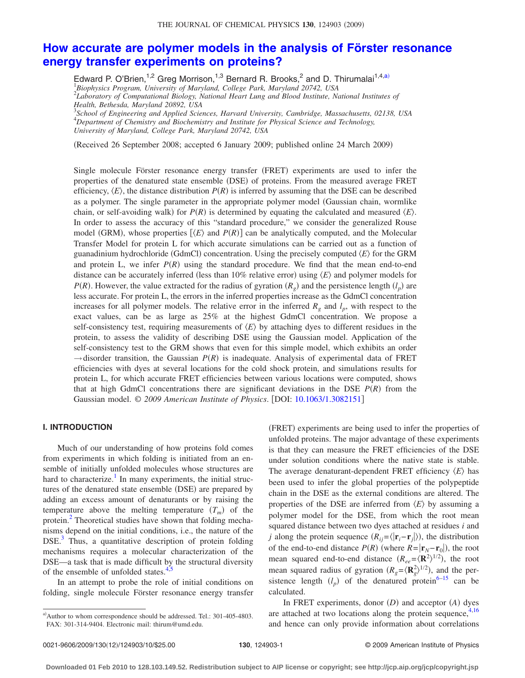# **[How accurate are polymer models in the analysis of Förster resonance](http://dx.doi.org/10.1063/1.3082151) [energy transfer experiments on proteins?](http://dx.doi.org/10.1063/1.3082151)**

Edward P. O'Brien,<sup>1,2</sup> Greg Morrison,<sup>1,3</sup> Bernard R. Brooks,<sup>2</sup> and D. Thirumalai<sup>1,4[,a](#page-0-0))</sup> 1 *Biophysics Program, University of Maryland, College Park, Maryland 20742, USA* 2 *Laboratory of Computational Biology, National Heart Lung and Blood Institute, National Institutes of*

*Health, Bethesda, Maryland 20892, USA* 3 *School of Engineering and Applied Sciences, Harvard University, Cambridge, Massachusetts, 02138, USA* 4 *Department of Chemistry and Biochemistry and Institute for Physical Science and Technology, University of Maryland, College Park, Maryland 20742, USA*

Received 26 September 2008; accepted 6 January 2009; published online 24 March 2009-

Single molecule Förster resonance energy transfer (FRET) experiments are used to infer the properties of the denatured state ensemble (DSE) of proteins. From the measured average FRET efficiency,  $\langle E \rangle$ , the distance distribution  $P(R)$  is inferred by assuming that the DSE can be described as a polymer. The single parameter in the appropriate polymer model Gaussian chain, wormlike chain, or self-avoiding walk) for  $P(R)$  is determined by equating the calculated and measured  $\langle E \rangle$ . In order to assess the accuracy of this "standard procedure," we consider the generalized Rouse model (GRM), whose properties  $[\langle E \rangle$  and  $P(R)]$  can be analytically computed, and the Molecular Transfer Model for protein L for which accurate simulations can be carried out as a function of guanadinium hydrochloride (GdmCl) concentration. Using the precisely computed  $\langle E \rangle$  for the GRM and protein L, we infer  $P(R)$  using the standard procedure. We find that the mean end-to-end distance can be accurately inferred (less than  $10\%$  relative error) using  $\langle E \rangle$  and polymer models for *P*(*R*). However, the value extracted for the radius of gyration  $(R_g)$  and the persistence length  $(l_p)$  are less accurate. For protein L, the errors in the inferred properties increase as the GdmCl concentration increases for all polymer models. The relative error in the inferred  $R_g$  and  $l_p$ , with respect to the exact values, can be as large as 25% at the highest GdmCl concentration. We propose a self-consistency test, requiring measurements of  $\langle E \rangle$  by attaching dyes to different residues in the protein, to assess the validity of describing DSE using the Gaussian model. Application of the self-consistency test to the GRM shows that even for this simple model, which exhibits an order  $\rightarrow$  disorder transition, the Gaussian  $P(R)$  is inadequate. Analysis of experimental data of FRET efficiencies with dyes at several locations for the cold shock protein, and simulations results for protein L, for which accurate FRET efficiencies between various locations were computed, shows that at high GdmCl concentrations there are significant deviations in the DSE  $P(R)$  from the Gaussian model. © 2009 American Institute of Physics. [DOI: [10.1063/1.3082151](http://dx.doi.org/10.1063/1.3082151)]

#### **I. INTRODUCTION**

Much of our understanding of how proteins fold comes from experiments in which folding is initiated from an ensemble of initially unfolded molecules whose structures are hard to characterize.<sup>1</sup> In many experiments, the initial structures of the denatured state ensemble (DSE) are prepared by adding an excess amount of denaturants or by raising the temperature above the melting temperature  $(T_m)$  of the protein.<sup>[2](#page-9-1)</sup> Theoretical studies have shown that folding mechanisms depend on the initial conditions, i.e., the nature of the DSE.<sup>3</sup> Thus, a quantitative description of protein folding mechanisms requires a molecular characterization of the DSE—a task that is made difficult by the structural diversity of the ensemble of unfolded states.<sup>4,[5](#page-9-4)</sup>

In an attempt to probe the role of initial conditions on folding, single molecule Förster resonance energy transfer

(FRET) experiments are being used to infer the properties of unfolded proteins. The major advantage of these experiments is that they can measure the FRET efficiencies of the DSE under solution conditions where the native state is stable. The average denaturant-dependent FRET efficiency  $\langle E \rangle$  has been used to infer the global properties of the polypeptide chain in the DSE as the external conditions are altered. The properties of the DSE are inferred from  $\langle E \rangle$  by assuming a polymer model for the DSE, from which the root mean squared distance between two dyes attached at residues *i* and *j* along the protein sequence  $(R_{ij} = \langle |\mathbf{r}_i - \mathbf{r}_j| \rangle)$ , the distribution of the end-to-end distance  $P(R)$  (where  $R = |\mathbf{r}_N - \mathbf{r}_0|$ ), the root mean squared end-to-end distance  $(R_{ee} = \langle \mathbf{R}^2 \rangle^{1/2})$ , the root mean squared radius of gyration  $(R_g = \langle \mathbf{R}_g^2 \rangle^{1/2})$ , and the persistence length  $(l_p)$  of the denatured protein<sup>6[–15](#page-9-6)</sup> can be calculated.

In FRET experiments, donor *(D)* and acceptor *(A)* dyes are attached at two locations along the protein sequence,  $4,16$  $4,16$ and hence can only provide information about correlations

<span id="page-0-0"></span>a)Author to whom correspondence should be addressed. Tel.: 301-405-4803. FAX: 301-314-9404. Electronic mail: thirum@umd.edu.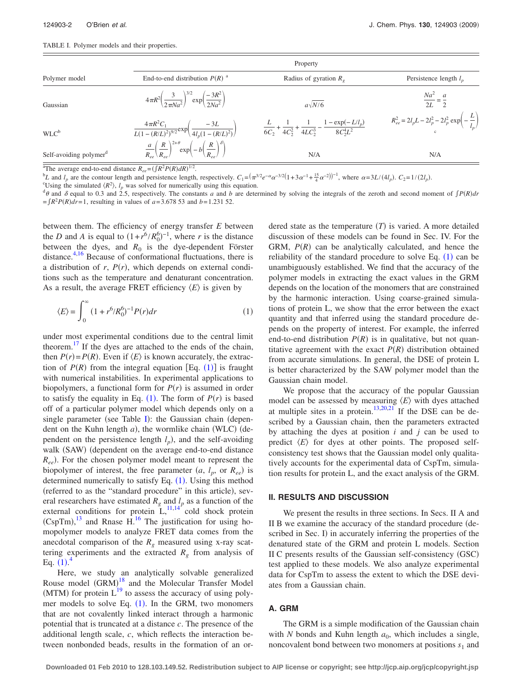<span id="page-1-1"></span>

|  |  |  |  |  | TABLE I. Polymer models and their properties. |
|--|--|--|--|--|-----------------------------------------------|
|--|--|--|--|--|-----------------------------------------------|

|                                    | Property                                                                                                        |                                                                                              |                                                                      |  |  |
|------------------------------------|-----------------------------------------------------------------------------------------------------------------|----------------------------------------------------------------------------------------------|----------------------------------------------------------------------|--|--|
| Polymer model                      | End-to-end distribution $P(R)$ <sup>a</sup>                                                                     | Radius of gyration $R_{\rho}$                                                                | Persistence length $l_n$                                             |  |  |
| Gaussian                           | $4\pi R^2 \left(\frac{3}{2\pi Na^2}\right)^{3/2} \exp\left(\frac{-3R^2}{2Na^2}\right)$                          | $a\sqrt{N/6}$                                                                                | $\frac{Na^2}{2L} = \frac{a}{2}$                                      |  |  |
| $WLC^b$                            | $\frac{4\pi R^2C_1}{L(1-(R/L)^2)^{9/2}} \exp\left(\frac{-3L}{4l_p(1-(R/L)^2)}\right)$                           | $\frac{L}{6C_2} + \frac{1}{4C_2^2} + \frac{1}{4LC_2^3} - \frac{1 - \exp(-L/l_p)}{8C_2^4L^2}$ | $R_{ee}^2 = 2l_pL - 2l_p^2 - 2l_p^2 \exp\left(-\frac{L}{l_p}\right)$ |  |  |
| Self-avoiding polymer <sup>a</sup> | $\frac{a}{R_{ee}}\left(\frac{R}{R_{ee}}\right)^{2+\theta} \exp\left(-b\left(\frac{R}{R}\right)^{\delta}\right)$ | N/A                                                                                          | N/A                                                                  |  |  |

<sup>a</sup>The average end-to-end distance  $R_{ee} = (\int R^2 P(R) dR)^{1/2}$ .

<sup>b</sup>L and  $l_p$  are the contour length and persistence length, respectively.  $C_1 = (\pi^{3/2}e^{-\alpha}\alpha^{-3/2}(1+3\alpha^{-1}+\frac{15}{4}\alpha^{-2}))^{-1}$ , where  $\alpha = 3L/(4l_p)$ .  $C_2 = 1/(2l_p)$ .

Using the simulated  $\langle R^2 \rangle$ ,  $l_p$  was solved for numerically using this equation.<br>  $d\theta$  and  $\delta$  equal to 0.3 and 2.5, respectively. The constants a and b are determined by solving the integrals of the zeroth and secon  $=fR^2P(R)dr=1$ , resulting in values of *a*=3.678 53 and *b*=1.231 52.

between them. The efficiency of energy transfer *E* between the *D* and *A* is equal to  $(1 + r^6 / R_0^6)^{-1}$ , where *r* is the distance between the dyes, and  $R_0$  is the dye-dependent Förster distance.<sup>4[,16](#page-9-7)</sup> Because of conformational fluctuations, there is a distribution of  $r$ ,  $P(r)$ , which depends on external conditions such as the temperature and denaturant concentration. As a result, the average FRET efficiency  $\langle E \rangle$  is given by

<span id="page-1-0"></span>
$$
\langle E \rangle = \int_0^\infty (1 + r^6 / R_0^6)^{-1} P(r) dr \tag{1}
$$

under most experimental conditions due to the central limit theorem. $17$  If the dyes are attached to the ends of the chain, then  $P(r) = P(R)$ . Even if  $\langle E \rangle$  is known accurately, the extraction of  $P(R)$  from the integral equation [Eq. ([1](#page-1-0))] is fraught with numerical instabilities. In experimental applications to biopolymers, a functional form for  $P(r)$  is assumed in order to satisfy the equality in Eq.  $(1)$  $(1)$  $(1)$ . The form of  $P(r)$  is based off of a particular polymer model which depends only on a single parameter (see Table [I](#page-1-1)): the Gaussian chain (dependent on the Kuhn length *a*), the wormlike chain (WLC) (dependent on the persistence length  $l_p$ ), and the self-avoiding walk (SAW) (dependent on the average end-to-end distance  $R_{ee}$ ). For the chosen polymer model meant to represent the biopolymer of interest, the free parameter  $(a, l_p, \text{ or } R_{ee})$  is determined numerically to satisfy Eq.  $(1)$  $(1)$  $(1)$ . Using this method (referred to as the "standard procedure" in this article), several researchers have estimated  $R_g$  and  $l_p$  as a function of the external conditions for protein  $\mathrm{L}^{1,1,14}$  $\mathrm{L}^{1,1,14}$  $\mathrm{L}^{1,1,14}$  cold shock protein  $(CspTm)$ ,<sup>[13](#page-9-11)</sup> and Rnase H.<sup>16</sup> The justification for using homopolymer models to analyze FRET data comes from the anecdotal comparison of the  $R<sub>g</sub>$  measured using x-ray scattering experiments and the extracted  $R<sub>g</sub>$  from analysis of Eq.  $(1)^{4}$  $(1)^{4}$  $(1)^{4}$  $(1)^{4}$  $(1)^{4}$ 

Here, we study an analytically solvable generalized Rouse model (GRM)<sup>[18](#page-9-12)</sup> and the Molecular Transfer Model (MTM) for protein  $L^{19}$  to assess the accuracy of using polymer models to solve Eq.  $(1)$  $(1)$  $(1)$ . In the GRM, two monomers that are not covalently linked interact through a harmonic potential that is truncated at a distance *c*. The presence of the additional length scale, *c*, which reflects the interaction between nonbonded beads, results in the formation of an or-

dered state as the temperature  $(T)$  is varied. A more detailed discussion of these models can be found in Sec. IV. For the GRM,  $P(R)$  can be analytically calculated, and hence the reliability of the standard procedure to solve Eq.  $(1)$  $(1)$  $(1)$  can be unambiguously established. We find that the accuracy of the polymer models in extracting the exact values in the GRM depends on the location of the monomers that are constrained by the harmonic interaction. Using coarse-grained simulations of protein L, we show that the error between the exact quantity and that inferred using the standard procedure depends on the property of interest. For example, the inferred end-to-end distribution  $P(R)$  is in qualitative, but not quantitative agreement with the exact  $P(R)$  distribution obtained from accurate simulations. In general, the DSE of protein L is better characterized by the SAW polymer model than the Gaussian chain model.

We propose that the accuracy of the popular Gaussian model can be assessed by measuring  $\langle E \rangle$  with dyes attached at multiple sites in a protein.<sup>13,[20](#page-9-14)[,21](#page-9-15)</sup> If the DSE can be described by a Gaussian chain, then the parameters extracted by attaching the dyes at position *i* and *j* can be used to predict  $\langle E \rangle$  for dyes at other points. The proposed selfconsistency test shows that the Gaussian model only qualitatively accounts for the experimental data of CspTm, simulation results for protein L, and the exact analysis of the GRM.

## **II. RESULTS AND DISCUSSION**

We present the results in three sections. In Secs. II A and II B we examine the accuracy of the standard procedure (described in Sec. I) in accurately inferring the properties of the denatured state of the GRM and protein L models. Section II C presents results of the Gaussian self-consistency (GSC) test applied to these models. We also analyze experimental data for CspTm to assess the extent to which the DSE deviates from a Gaussian chain.

## **A. GRM**

The GRM is a simple modification of the Gaussian chain with *N* bonds and Kuhn length  $a_0$ , which includes a single, noncovalent bond between two monomers at positions  $s_1$  and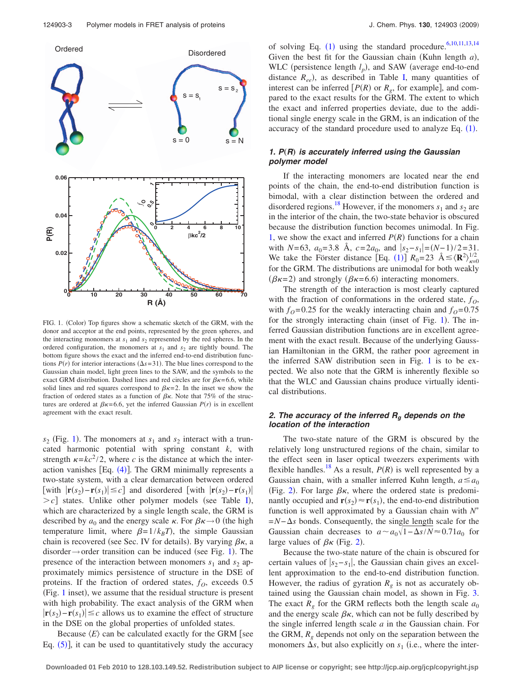<span id="page-2-0"></span>

FIG. 1. (Color) Top figures show a schematic sketch of the GRM, with the donor and acceptor at the end points, represented by the green spheres, and the interacting monomers at  $s_1$  and  $s_2$  represented by the red spheres. In the ordered configuration, the monomers at  $s_1$  and  $s_2$  are tightly bound. The bottom figure shows the exact and the inferred end-to-end distribution functions  $P(r)$  for interior interactions  $(\Delta s = 31)$ . The blue lines correspond to the Gaussian chain model, light green lines to the SAW, and the symbols to the exact GRM distribution. Dashed lines and red circles are for  $\beta \kappa = 6.6$ , while solid lines and red squares correspond to  $\beta \kappa = 2$ . In the inset we show the fraction of ordered states as a function of  $\beta \kappa$ . Note that 75% of the structures are ordered at  $\beta \kappa = 6.6$ , yet the inferred Gaussian  $P(r)$  is in excellent agreement with the exact result.

 $s_2$  (Fig. [1](#page-2-0)). The monomers at  $s_1$  and  $s_2$  interact with a truncated harmonic potential with spring constant *k*, with strength  $\kappa = kc^2/2$ , where *c* is the distance at which the interaction vanishes  $[Eq. (4)]$  $[Eq. (4)]$  $[Eq. (4)]$ . The GRM minimally represents a two-state system, with a clear demarcation between ordered [with  $|\mathbf{r}(s_2) - \mathbf{r}(s_1)| \leq c$ ] and disordered [with  $|\mathbf{r}(s_2) - \mathbf{r}(s_1)|$  $>c$ ] states. Unlike other polymer models (see Table [I](#page-1-1)), which are characterized by a single length scale, the GRM is described by  $a_0$  and the energy scale  $\kappa$ . For  $\beta \kappa \rightarrow 0$  (the high temperature limit, where  $\beta = 1/k_B T$ , the simple Gaussian chain is recovered (see Sec. IV for details). By varying  $\beta \kappa$ , a disorder  $\rightarrow$  order transition can be induced (see Fig. [1](#page-2-0)). The presence of the interaction between monomers  $s_1$  and  $s_2$  approximately mimics persistence of structure in the DSE of proteins. If the fraction of ordered states,  $f<sub>O</sub>$ , exceeds 0.5 (Fig. [1](#page-2-0) inset), we assume that the residual structure is present with high probability. The exact analysis of the GRM when  $|\mathbf{r}(s_2) - \mathbf{r}(s_1)| \leq c$  allows us to examine the effect of structure in the DSE on the global properties of unfolded states.

Because  $\langle E \rangle$  can be calculated exactly for the GRM [see Eq.  $(5)$  $(5)$  $(5)$ ], it can be used to quantitatively study the accuracy

of solving Eq.  $(1)$  $(1)$  $(1)$  using the standard procedure.<sup>6[,10,](#page-9-16)[11](#page-9-9)[,13](#page-9-11)[,14](#page-9-10)</sup> Given the best fit for the Gaussian chain (Kuhn length *a*), WLC (persistence length  $l_p$ ), and SAW (average end-to-end distance  $R_{ee}$ ), as described in Table [I,](#page-1-1) many quantities of interest can be inferred  $[P(R)$  or  $R<sub>g</sub>$ , for example], and compared to the exact results for the GRM. The extent to which the exact and inferred properties deviate, due to the additional single energy scale in the GRM, is an indication of the accuracy of the standard procedure used to analyze Eq.  $(1)$  $(1)$  $(1)$ .

# *1. P*"*R*… *is accurately inferred using the Gaussian polymer model*

If the interacting monomers are located near the end points of the chain, the end-to-end distribution function is bimodal, with a clear distinction between the ordered and disordered regions.<sup>18</sup> However, if the monomers  $s_1$  and  $s_2$  are in the interior of the chain, the two-state behavior is obscured because the distribution function becomes unimodal. In Fig. [1,](#page-2-0) we show the exact and inferred  $P(R)$  functions for a chain with *N*=63,  $a_0$ =3.8 Å,  $c=2a_0$ , and  $|s_2-s_1| = (N-1)/2=31$ . We take the Förster distance [Eq. ([1](#page-1-0))]  $R_0 = 23 \text{ Å} \le \langle \mathbf{R}^2 \rangle_{\kappa=0}^{1/2}$ for the GRM. The distributions are unimodal for both weakly  $(\beta \kappa = 2)$  and strongly  $(\beta \kappa = 6.6)$  interacting monomers.

The strength of the interaction is most clearly captured with the fraction of conformations in the ordered state,  $f<sub>O</sub>$ , with  $f<sub>O</sub>=0.25$  for the weakly interacting chain and  $f<sub>O</sub>=0.75$ for the strongly interacting chain (inset of Fig. [1](#page-2-0)). The inferred Gaussian distribution functions are in excellent agreement with the exact result. Because of the underlying Gaussian Hamiltonian in the GRM, the rather poor agreement in the inferred SAW distribution seen in Fig. [1](#page-2-0) is to be expected. We also note that the GRM is inherently flexible so that the WLC and Gaussian chains produce virtually identical distributions.

## *2. The accuracy of the inferred Rg depends on the location of the interaction*

The two-state nature of the GRM is obscured by the relatively long unstructured regions of the chain, similar to the effect seen in laser optical tweezers experiments with flexible handles.<sup>18</sup> As a result,  $P(R)$  is well represented by a Gaussian chain, with a smaller inferred Kuhn length,  $a \le a_0$ (Fig. [2](#page-3-0)). For large  $\beta \kappa$ , where the ordered state is predominantly occupied and  $\mathbf{r}(s_2) \approx \mathbf{r}(s_1)$ , the end-to-end distribution function is well approximated by a Gaussian chain with *N* =*N*−*s* bonds. Consequently, the single length scale for the Gaussian chain decreases to  $a \sim a_0 \sqrt{1-\Delta s/N} \approx 0.71a_0$  for large values of  $\beta \kappa$  (Fig. [2](#page-3-0)).

Because the two-state nature of the chain is obscured for certain values of  $|s_2 - s_1|$ , the Gaussian chain gives an excellent approximation to the end-to-end distribution function. However, the radius of gyration  $R_g$  is not as accurately obtained using the Gaussian chain model, as shown in Fig. [3.](#page-3-1) The exact  $R_g$  for the GRM reflects both the length scale  $a_0$ and the energy scale  $\beta \kappa$ , which can not be fully described by the single inferred length scale *a* in the Gaussian chain. For the GRM, *Rg* depends not only on the separation between the monomers  $\Delta s$ , but also explicitly on  $s_1$  (i.e., where the inter-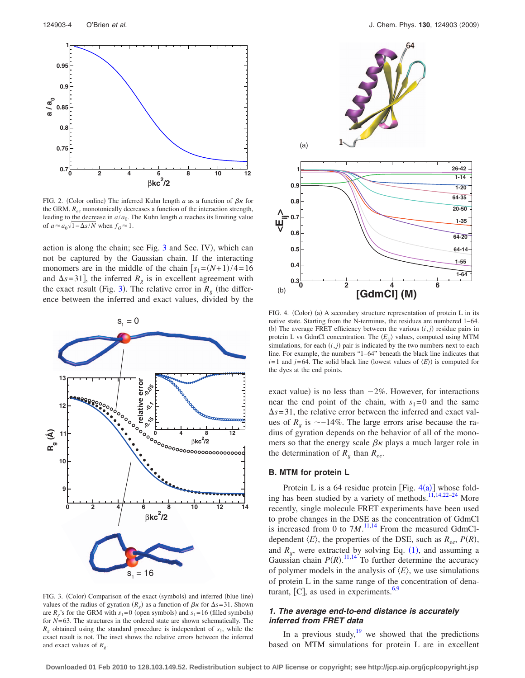<span id="page-3-0"></span>

FIG. 2. (Color online) The inferred Kuhn length *a* as a function of  $\beta \kappa$  for the GRM. *Ree* monotonically decreases a function of the interaction strength, leading to the decrease in  $a/a_0$ . The Kuhn length *a* reaches its limiting value of  $a \approx a_0 \sqrt{1 - \Delta s/N}$  when  $f_0 \approx 1$ .

action is along the chain; see Fig. [3](#page-3-1) and Sec. IV), which can not be captured by the Gaussian chain. If the interacting monomers are in the middle of the chain  $[s_1 = (N+1)/4 = 16$ and  $\Delta s = 31$ , the inferred  $R_g$  is in excellent agreement with the exact result (Fig. [3](#page-3-1)). The relative error in  $R<sub>g</sub>$  (the difference between the inferred and exact values, divided by the

<span id="page-3-1"></span>

FIG. 3. (Color) Comparison of the exact (symbols) and inferred (blue line) values of the radius of gyration  $(R_g)$  as a function of  $\beta \kappa$  for  $\Delta s = 31$ . Shown are  $R_g$ 's for the GRM with  $s_1 = 0$  (open symbols) and  $s_1 = 16$  (filled symbols) for *N*=63. The structures in the ordered state are shown schematically. The  $R_g$  obtained using the standard procedure is independent of  $s_1$ , while the exact result is not. The inset shows the relative errors between the inferred and exact values of *Rg*.

<span id="page-3-2"></span>

FIG. 4. (Color) (a) A secondary structure representation of protein L in its native state. Starting from the N-terminus, the residues are numbered 1–64. (b) The average FRET efficiency between the various  $(i, j)$  residue pairs in protein L vs GdmCl concentration. The  $\langle E_{ij} \rangle$  values, computed using MTM simulations, for each  $(i, j)$  pair is indicated by the two numbers next to each line. For example, the numbers "1–64" beneath the black line indicates that  $i=1$  and  $j=64$ . The solid black line (lowest values of  $\langle E \rangle$ ) is computed for the dyes at the end points.

exact value) is no less than  $-2\%$ . However, for interactions near the end point of the chain, with  $s_1=0$  and the same  $\Delta s = 31$ , the relative error between the inferred and exact values of  $R_g$  is  $\sim$ -14%. The large errors arise because the radius of gyration depends on the behavior of all of the monomers so that the energy scale  $\beta \kappa$  plays a much larger role in the determination of  $R_g$  than  $R_{ee}$ .

#### **B. MTM for protein L**

Protein L is a 6[4](#page-3-2) residue protein [Fig.  $4(a)$ ] whose fold-ing has been studied by a variety of methods.<sup>11[,14,](#page-9-10)[22–](#page-9-17)[24](#page-9-18)</sup> More recently, single molecule FRET experiments have been used to probe changes in the DSE as the concentration of GdmCl is increased from 0 to  $7M$ .<sup>[11](#page-9-9)[,14](#page-9-10)</sup> From the measured GdmCldependent  $\langle E \rangle$ , the properties of the DSE, such as  $R_{ee}$ ,  $P(R)$ , and  $R_g$ , were extracted by solving Eq.  $(1)$  $(1)$  $(1)$ , and assuming a Gaussian chain  $P(R)$ .<sup>[11,](#page-9-9)[14](#page-9-10)</sup> To further determine the accuracy of polymer models in the analysis of  $\langle E \rangle$ , we use simulations of protein L in the same range of the concentration of denaturant,  $[C]$ , as used in experiments.<sup>6,[9](#page-9-19)</sup>

# *1. The average end-to-end distance is accurately inferred from FRET data*

In a previous study, <sup>19</sup> we showed that the predictions based on MTM simulations for protein L are in excellent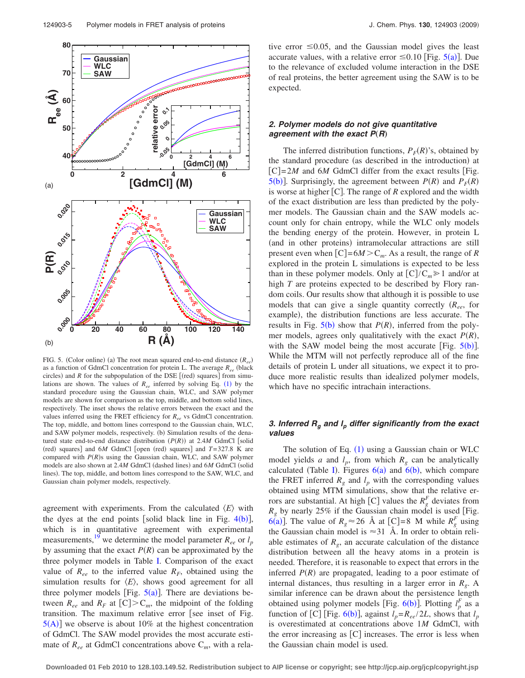<span id="page-4-0"></span>

FIG. 5. (Color online) (a) The root mean squared end-to-end distance ( $R_{ee}$ ) as a function of GdmCl concentration for protein L. The average  $R_{ee}$  (black circles) and  $R$  for the subpopulation of the DSE  $[(red)$  squares] from simulations are shown. The values of  $R_{ee}$  inferred by solving Eq. ([1](#page-1-0)) by the standard procedure using the Gaussian chain, WLC, and SAW polymer models are shown for comparison as the top, middle, and bottom solid lines, respectively. The inset shows the relative errors between the exact and the values inferred using the FRET efficiency for *Ree* vs GdmCl concentration. The top, middle, and bottom lines correspond to the Gaussian chain, WLC, and SAW polymer models, respectively. (b) Simulation results of the denatured state end-to-end distance distribution  $(P(R))$  at 2.4*M* GdmCl [solid  $(\text{red})$  squares] and  $6M$  GdmCl [open  $(\text{red})$  squares] and  $T=327.8$  K are compared with  $P(R)$ s using the Gaussian chain, WLC, and SAW polymer models are also shown at 2.4M GdmCl (dashed lines) and 6M GdmCl (solid lines). The top, middle, and bottom lines correspond to the SAW, WLC, and Gaussian chain polymer models, respectively.

agreement with experiments. From the calculated  $\langle E \rangle$  with the dyes at the end points [solid black line in Fig.  $4(b)$  $4(b)$ ], which is in quantitative agreement with experimental measurements,<sup>19</sup> we determine the model parameter  $R_{ee}$  or  $l_p$ by assuming that the exact  $P(R)$  can be approximated by the three polymer models in Table [I.](#page-1-1) Comparison of the exact value of  $R_{ee}$  to the inferred value  $R_F$ , obtained using the simulation results for  $\langle E \rangle$ , shows good agreement for all three polymer models [Fig.  $5(a)$  $5(a)$ ]. There are deviations between  $R_{ee}$  and  $R_F$  at  $[C] > C_m$ , the midpoint of the folding transition. The maximum relative error [see inset of Fig.  $5(A)$  $5(A)$  $5(A)$ ] we observe is about 10% at the highest concentration of GdmCl. The SAW model provides the most accurate estimate of *Ree* at GdmCl concentrations above C*m*, with a relative error  $\leq 0.05$ , and the Gaussian model gives the least accurate values, with a relative error  $\leq 0.10$  [Fig. [5](#page-4-0)(a)]. Due to the relevance of excluded volume interaction in the DSE of real proteins, the better agreement using the SAW is to be expected.

# *2. Polymer models do not give quantitative agreement with the exact*  $P(R)$

The inferred distribution functions,  $P_F(R)$ 's, obtained by the standard procedure (as described in the introduction) at  $[C]=2M$  and 6*M* GdmCl differ from the exact results Fig. [5](#page-4-0)(b)]. Surprisingly, the agreement between  $P(R)$  and  $P_F(R)$ is worse at higher  $[C]$ . The range of  $R$  explored and the width of the exact distribution are less than predicted by the polymer models. The Gaussian chain and the SAW models account only for chain entropy, while the WLC only models the bending energy of the protein. However, in protein L (and in other proteins) intramolecular attractions are still present even when  $[C]=6M>C_m$ . As a result, the range of *R* explored in the protein L simulations is expected to be less than in these polymer models. Only at  $[C]/C_m \ge 1$  and/or at high *T* are proteins expected to be described by Flory random coils. Our results show that although it is possible to use models that can give a single quantity correctly *Ree*, for example), the distribution functions are less accurate. The results in Fig.  $5(b)$  $5(b)$  show that  $P(R)$ , inferred from the polymer models, agrees only qualitatively with the exact  $P(R)$ , with the SAW model being the most accurate [Fig.  $5(b)$  $5(b)$ ]. While the MTM will not perfectly reproduce all of the fine details of protein L under all situations, we expect it to produce more realistic results than idealized polymer models, which have no specific intrachain interactions.

## *3. Inferred Rg and lp differ significantly from the exact values*

The solution of Eq. ([1](#page-1-0)) using a Gaussian chain or WLC model yields *a* and  $l_p$ , from which  $R_g$  can be analytically calculated (Table [I](#page-1-1)). Figures  $6(a)$  $6(a)$  and  $6(b)$ , which compare the FRET inferred  $R_g$  and  $l_p$  with the corresponding values obtained using MTM simulations, show that the relative errors are substantial. At high  $[C]$  values the  $R_g^F$  deviates from  $R_g$  by nearly 25% if the Gaussian chain model is used [Fig.  $\overline{6(a)}$  $\overline{6(a)}$  $\overline{6(a)}$ . The value of  $R_g \approx 26$  Å at [C]=8 M while  $R_g^F$  using the Gaussian chain model is  $\approx$  31 Å. In order to obtain reliable estimates of  $R_{\varrho}$ , an accurate calculation of the distance distribution between all the heavy atoms in a protein is needed. Therefore, it is reasonable to expect that errors in the inferred  $P(R)$  are propagated, leading to a poor estimate of internal distances, thus resulting in a larger error in  $R_g$ . A similar inference can be drawn about the persistence length obtained using polymer models [Fig.  $6(b)$  $6(b)$ ]. Plotting  $l_p^F$  as a function of [C] [Fig. [6](#page-5-0)(b)], against  $l_p = R_{ee}/2L$ , shows that  $l_p$ is overestimated at concentrations above 1*M* GdmCl, with the error increasing as  $[C]$  increases. The error is less when the Gaussian chain model is used.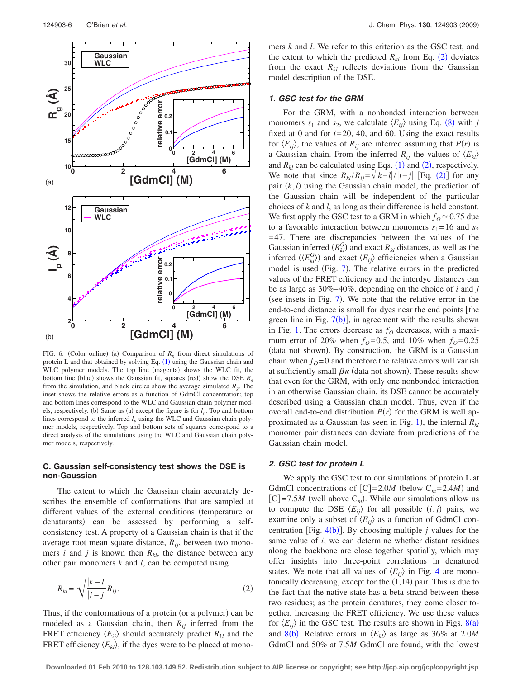<span id="page-5-0"></span>

FIG. 6. (Color online) (a) Comparison of  $R<sub>g</sub>$  from direct simulations of protein L and that obtained by solving Eq.  $(1)$  $(1)$  $(1)$  using the Gaussian chain and WLC polymer models. The top line (magenta) shows the WLC fit, the bottom line (blue) shows the Gaussian fit, squares (red) show the DSE  $R<sub>g</sub>$ from the simulation, and black circles show the average simulated *Rg*. The inset shows the relative errors as a function of GdmCl concentration; top and bottom lines correspond to the WLC and Gaussian chain polymer models, respectively. (b) Same as (a) except the figure is for  $l_p$ . Top and bottom lines correspond to the inferred  $l_p$  using the WLC and Gaussian chain polymer models, respectively. Top and bottom sets of squares correspond to a direct analysis of the simulations using the WLC and Gaussian chain polymer models, respectively.

## **C. Gaussian self-consistency test shows the DSE is non-Gaussian**

The extent to which the Gaussian chain accurately describes the ensemble of conformations that are sampled at different values of the external conditions (temperature or denaturants) can be assessed by performing a selfconsistency test. A property of a Gaussian chain is that if the average root mean square distance, *Rij*, between two monomers *i* and *j* is known then  $R_{kl}$ , the distance between any other pair monomers *k* and *l*, can be computed using

<span id="page-5-1"></span>
$$
R_{kl} = \sqrt{\frac{|k-l|}{|i-j|}} R_{ij}.
$$
\n
$$
(2)
$$

Thus, if the conformations of a protein (or a polymer) can be modeled as a Gaussian chain, then  $R_{ij}$  inferred from the FRET efficiency  $\langle E_{ii} \rangle$  should accurately predict  $R_{kl}$  and the FRET efficiency  $\langle E_{kl} \rangle$ , if the dyes were to be placed at monomers *k* and *l*. We refer to this criterion as the GSC test, and the extent to which the predicted  $R_{kl}$  from Eq. ([2](#page-5-1)) deviates from the exact  $R_{kl}$  reflects deviations from the Gaussian model description of the DSE.

## *1. GSC test for the GRM*

For the GRM, with a nonbonded interaction between monomers  $s_1$  and  $s_2$ , we calculate  $\langle E_{ij} \rangle$  using Eq. ([8](#page-8-2)) with *j* fixed at 0 and for  $i=20$ , 40, and 60. Using the exact results for  $\langle E_{ij} \rangle$ , the values of  $R_{ij}$  are inferred assuming that  $P(r)$  is a Gaussian chain. From the inferred  $R_{ij}$  the values of  $\langle E_{kl} \rangle$ and  $R_{kl}$  can be calculated using Eqs. ([1](#page-1-0)) and ([2](#page-5-1)), respectively. We note that since  $R_{kl}/R_{ij} = \sqrt{|k-l|/|i-j|}$  [Eq. ([2](#page-5-1))] for any pair  $(k, l)$  using the Gaussian chain model, the prediction of the Gaussian chain will be independent of the particular choices of *k* and *l*, as long as their difference is held constant. We first apply the GSC test to a GRM in which  $f<sub>O</sub> \approx 0.75$  due to a favorable interaction between monomers  $s_1 = 16$  and  $s_2$ =47. There are discrepancies between the values of the Gaussian inferred  $(R_{kl}^G)$  and exact  $R_{kl}$  distances, as well as the inferred  $(\langle E_{kl}^G \rangle)$  and exact  $\langle E_{ij} \rangle$  efficiencies when a Gaussian model is used (Fig. [7](#page-6-0)). The relative errors in the predicted values of the FRET efficiency and the interdye distances can be as large as 30%–40%, depending on the choice of *i* and *j* (see insets in Fig. [7](#page-6-0)). We note that the relative error in the end-to-end distance is small for dyes near the end points [the green line in Fig.  $7(b)$  $7(b)$ , in agreement with the results shown in Fig. [1.](#page-2-0) The errors decrease as  $f<sub>O</sub>$  decreases, with a maximum error of 20% when  $f<sub>O</sub>=0.5$ , and 10% when  $f<sub>O</sub>=0.25$ (data not shown). By construction, the GRM is a Gaussian chain when  $f<sub>O</sub>=0$  and therefore the relative errors will vanish at sufficiently small  $\beta \kappa$  (data not shown). These results show that even for the GRM, with only one nonbonded interaction in an otherwise Gaussian chain, its DSE cannot be accurately described using a Gaussian chain model. Thus, even if the overall end-to-end distribution  $P(r)$  for the GRM is well ap-proximated as a Gaussian (as seen in Fig. [1](#page-2-0)), the internal  $R_{kl}$ monomer pair distances can deviate from predictions of the Gaussian chain model.

#### *2. GSC test for protein L*

We apply the GSC test to our simulations of protein L at GdmCl concentrations of  $[C] = 2.0M$  (below  $C_m = 2.4M$ ) and  $[C]=7.5M$  (well above  $C_m$ ). While our simulations allow us to compute the DSE  $\langle E_{ij} \rangle$  for all possible  $(i, j)$  pairs, we examine only a subset of  $\langle E_{ij} \rangle$  as a function of GdmCl concentration [Fig.  $4(b)$  $4(b)$ ]. By choosing multiple *j* values for the same value of *i*, we can determine whether distant residues along the backbone are close together spatially, which may offer insights into three-point correlations in denatured states. We note that all values of  $\langle E_{ii} \rangle$  in Fig. [4](#page-3-2) are monotonically decreasing, except for the  $(1,14)$  pair. This is due to the fact that the native state has a beta strand between these two residues; as the protein denatures, they come closer together, increasing the FRET efficiency. We use these values for  $\langle E_{ij} \rangle$  in the GSC test. The results are shown in Figs. [8](#page-6-1)(a) and [8](#page-6-1)(b). Relative errors in  $\langle E_{kl} \rangle$  as large as 36% at 2.0*M* GdmCl and 50% at 7.5*M* GdmCl are found, with the lowest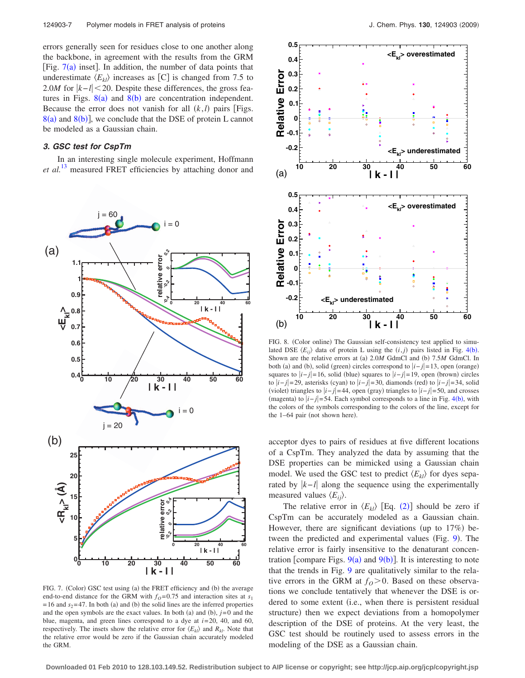errors generally seen for residues close to one another along the backbone, in agreement with the results from the GRM [Fig.  $7(a)$  $7(a)$  inset]. In addition, the number of data points that underestimate  $\langle E_{kl} \rangle$  increases as [C] is changed from 7.5 to 2.0*M* for  $|k-l|$  < 20. Despite these differences, the gross features in Figs.  $8(a)$  $8(a)$  and  $8(b)$  are concentration independent. Because the error does not vanish for all  $(k, l)$  pairs [Figs.  $8(a)$  $8(a)$  and  $8(b)$ ], we conclude that the DSE of protein L cannot be modeled as a Gaussian chain.

# *3. GSC test for CspTm*

In an interesting single molecule experiment, Hoffmann *et al.*[13](#page-9-11) measured FRET efficiencies by attaching donor and

<span id="page-6-0"></span>

FIG. 7. (Color) GSC test using (a) the FRET efficiency and (b) the average end-to-end distance for the GRM with  $f<sub>O</sub>=0.75$  and interaction sites at  $s<sub>1</sub>$  $=16$  and  $s_2=47$ . In both (a) and (b) the solid lines are the inferred properties and the open symbols are the exact values. In both (a) and (b),  $j=0$  and the blue, magenta, and green lines correspond to a dye at *i*=20, 40, and 60, respectively. The insets show the relative error for  $\langle E_{kl} \rangle$  and  $R_{kl}$ . Note that the relative error would be zero if the Gaussian chain accurately modeled the GRM.

<span id="page-6-1"></span>

FIG. 8. (Color online) The Gaussian self-consistency test applied to simulated DSE  $\langle E_{ij} \rangle$  data of protein L using the  $(i, j)$  pairs listed in Fig. [4](#page-3-2)(b). Shown are the relative errors at (a) 2.0*M* GdmCl and (b) 7.5*M* GdmCl. In both (a) and (b), solid (green) circles correspond to  $|i-j|=13$ , open (orange) squares to  $|i-j|=16$ , solid (blue) squares to  $|i-j|=19$ , open (brown) circles to  $|i-j|=29$ , asterisks (cyan) to  $|i-j|=30$ , diamonds (red) to  $|i-j|=34$ , solid (violet) triangles to  $|i-j|=44$ , open (gray) triangles to  $|i-j|=50$ , and crosses (magenta) to  $|i-j|=54$  $|i-j|=54$ . Each symbol corresponds to a line in Fig. 4(b), with the colors of the symbols corresponding to the colors of the line, except for the  $1-64$  pair (not shown here).

acceptor dyes to pairs of residues at five different locations of a CspTm. They analyzed the data by assuming that the DSE properties can be mimicked using a Gaussian chain model. We used the GSC test to predict  $\langle E_{kl} \rangle$  for dyes separated by  $|k-l|$  along the sequence using the experimentally measured values  $\langle E_{ii} \rangle$ .

The relative error in  $\langle E_{kl} \rangle$  [Eq. ([2](#page-5-1))] should be zero if CspTm can be accurately modeled as a Gaussian chain. However, there are significant deviations (up to  $17\%$ ) be-tween the predicted and experimental values (Fig. [9](#page-7-0)). The relative error is fairly insensitive to the denaturant concentration [compare Figs.  $9(a)$  $9(a)$  and  $9(b)$ ]. It is interesting to note that the trends in Fig. [9](#page-7-0) are qualitatively similar to the relative errors in the GRM at  $f<sub>O</sub> > 0$ . Based on these observations we conclude tentatively that whenever the DSE is ordered to some extent (i.e., when there is persistent residual structure) then we expect deviations from a homopolymer description of the DSE of proteins. At the very least, the GSC test should be routinely used to assess errors in the modeling of the DSE as a Gaussian chain.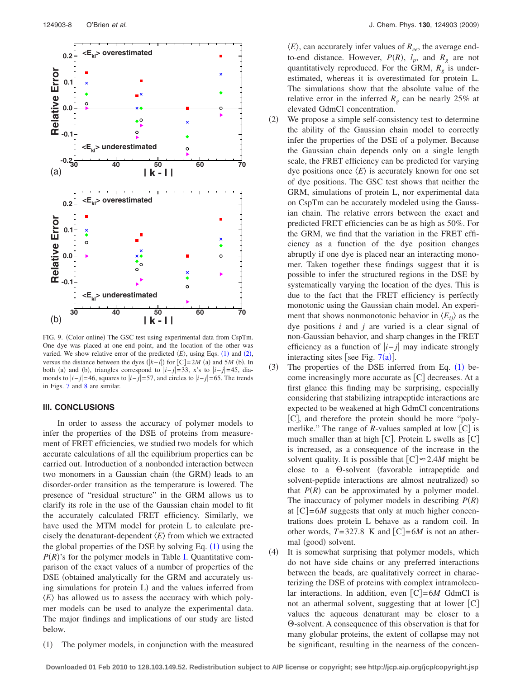<span id="page-7-0"></span>

FIG. 9. (Color online) The GSC test using experimental data from CspTm. One dye was placed at one end point, and the location of the other was varied. We show relative error of the predicted  $\langle E \rangle$ , using Eqs. ([1](#page-1-0)) and ([2](#page-5-1)), versus the distance between the dyes  $(k-l)$  for  $[C]=2M$  (a) and 5*M* (b). In both (a) and (b), triangles correspond to  $|i-j|=33$ , x's to  $|i-j|=45$ , diamonds to *i*− *j*=46, squares to *i*− *j*=57, and circles to *i*− *j*=65. The trends in Figs. [7](#page-6-0) and [8](#page-6-1) are similar.

#### **III. CONCLUSIONS**

In order to assess the accuracy of polymer models to infer the properties of the DSE of proteins from measurement of FRET efficiencies, we studied two models for which accurate calculations of all the equilibrium properties can be carried out. Introduction of a nonbonded interaction between two monomers in a Gaussian chain (the GRM) leads to an disorder-order transition as the temperature is lowered. The presence of "residual structure" in the GRM allows us to clarify its role in the use of the Gaussian chain model to fit the accurately calculated FRET efficiency. Similarly, we have used the MTM model for protein L to calculate precisely the denaturant-dependent  $\langle E \rangle$  from which we extracted the global properties of the DSE by solving Eq.  $(1)$  $(1)$  $(1)$  using the  $P(R)$ 's for the polymer models in Table [I.](#page-1-1) Quantitative comparison of the exact values of a number of properties of the DSE (obtained analytically for the GRM and accurately using simulations for protein L) and the values inferred from  $\langle E \rangle$  has allowed us to assess the accuracy with which polymer models can be used to analyze the experimental data. The major findings and implications of our study are listed below.

 $(1)$ The polymer models, in conjunction with the measured

 $\langle E \rangle$ , can accurately infer values of  $R_{ee}$ , the average endto-end distance. However,  $P(R)$ ,  $l_p$ , and  $R_g$  are not quantitatively reproduced. For the GRM,  $R_g$  is underestimated, whereas it is overestimated for protein L. The simulations show that the absolute value of the relative error in the inferred  $R_g$  can be nearly 25% at elevated GdmCl concentration.

- $(2)$  We propose a simple self-consistency test to determine the ability of the Gaussian chain model to correctly infer the properties of the DSE of a polymer. Because the Gaussian chain depends only on a single length scale, the FRET efficiency can be predicted for varying dye positions once  $\langle E \rangle$  is accurately known for one set of dye positions. The GSC test shows that neither the GRM, simulations of protein L, nor experimental data on CspTm can be accurately modeled using the Gaussian chain. The relative errors between the exact and predicted FRET efficiencies can be as high as 50%. For the GRM, we find that the variation in the FRET efficiency as a function of the dye position changes abruptly if one dye is placed near an interacting monomer. Taken together these findings suggest that it is possible to infer the structured regions in the DSE by systematically varying the location of the dyes. This is due to the fact that the FRET efficiency is perfectly monotonic using the Gaussian chain model. An experiment that shows nonmonotonic behavior in  $\langle E_{ii} \rangle$  as the dye positions *i* and *j* are varied is a clear signal of non-Gaussian behavior, and sharp changes in the FRET efficiency as a function of *i*− *j* may indicate strongly interacting sites [see Fig.  $7(a)$  $7(a)$ ].
- $(3)$ ) The properties of the DSE inferred from Eq.  $(1)$  $(1)$  $(1)$  become increasingly more accurate as  $[C]$  decreases. At a first glance this finding may be surprising, especially considering that stabilizing intrapeptide interactions are expected to be weakened at high GdmCl concentrations [C], and therefore the protein should be more "polymerlike." The range of *R*-values sampled at low  $[C]$  is much smaller than at high  $[C]$ . Protein L swells as  $[C]$ is increased, as a consequence of the increase in the solvent quality. It is possible that  $[C] \approx 2.4M$  might be close to a  $\Theta$ -solvent (favorable intrapeptide and solvent-peptide interactions are almost neutralized) so that  $P(R)$  can be approximated by a polymer model. The inaccuracy of polymer models in describing  $P(R)$ at  $[C]=6M$  suggests that only at much higher concentrations does protein L behave as a random coil. In other words,  $T=327.8$  K and  $[C]=6M$  is not an athermal (good) solvent.
- $(4)$  It is somewhat surprising that polymer models, which do not have side chains or any preferred interactions between the beads, are qualitatively correct in characterizing the DSE of proteins with complex intramolecular interactions. In addition, even  $[C]=6M$  GdmCl is not an athermal solvent, suggesting that at lower  $[C]$ values the aqueous denaturant may be closer to a  $\Theta$ -solvent. A consequence of this observation is that for many globular proteins, the extent of collapse may not be significant, resulting in the nearness of the concen-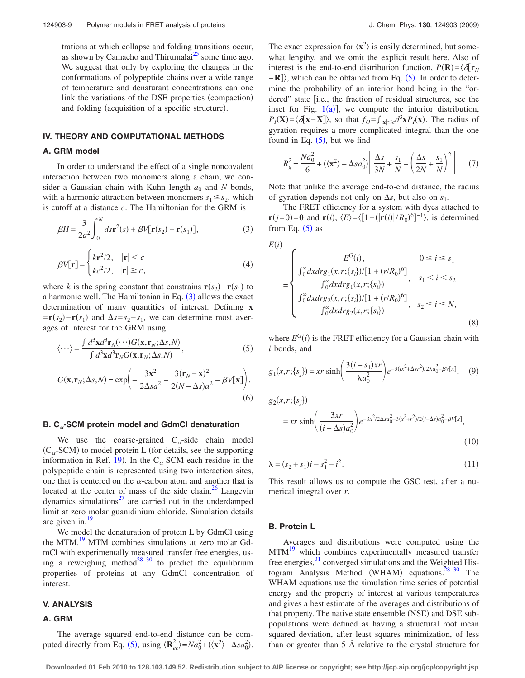trations at which collapse and folding transitions occur, as shown by Camacho and Thirumalai $^{25}$  some time ago. We suggest that only by exploring the changes in the conformations of polypeptide chains over a wide range of temperature and denaturant concentrations can one link the variations of the DSE properties (compaction) and folding (acquisition of a specific structure).

# **IV. THEORY AND COMPUTATIONAL METHODS**

#### **A. GRM model**

In order to understand the effect of a single noncovalent interaction between two monomers along a chain, we consider a Gaussian chain with Kuhn length  $a_0$  and N bonds, with a harmonic attraction between monomers  $s_1 \leq s_2$ , which is cutoff at a distance *c*. The Hamiltonian for the GRM is

<span id="page-8-3"></span>
$$
\beta H = \frac{3}{2a^2} \int_0^N ds \dot{\mathbf{r}}^2(s) + \beta V[\mathbf{r}(s_2) - \mathbf{r}(s_1)],\tag{3}
$$

<span id="page-8-0"></span>
$$
\beta V[\mathbf{r}] = \begin{cases} k\mathbf{r}^2/2, & |\mathbf{r}| < c \\ kc^2/2, & |\mathbf{r}| \ge c, \end{cases}
$$
 (4)

where *k* is the spring constant that constrains  $\mathbf{r}(s_2) - \mathbf{r}(s_1)$  to a harmonic well. The Hamiltonian in Eq.  $(3)$  $(3)$  $(3)$  allows the exact determination of many quantities of interest. Defining **x**  $= \mathbf{r}(s_2) - \mathbf{r}(s_1)$  and  $\Delta s = s_2 - s_1$ , we can determine most averages of interest for the GRM using

<span id="page-8-1"></span>
$$
\langle \cdots \rangle = \frac{\int d^3 \mathbf{x} d^3 \mathbf{r}_N(\cdots) G(\mathbf{x}, \mathbf{r}_N; \Delta s, N)}{\int d^3 \mathbf{x} d^3 \mathbf{r}_N G(\mathbf{x}, \mathbf{r}_N; \Delta s, N)},
$$
(5)

$$
G(\mathbf{x}, \mathbf{r}_N; \Delta s, N) = \exp\left(-\frac{3\mathbf{x}^2}{2\Delta s a^2} - \frac{3(\mathbf{r}_N - \mathbf{x})^2}{2(N - \Delta s)a^2} - \beta V[\mathbf{x}]\right).
$$
\n(6)

#### **B. C-SCM protein model and GdmCl denaturation**

We use the coarse-grained  $C_{\alpha}$ -side chain model  $(C_{\alpha}$ -SCM) to model protein L (for details, see the supporting information in Ref. [19](#page-9-13)). In the C<sub> $\alpha$ </sub>-SCM each residue in the polypeptide chain is represented using two interaction sites, one that is centered on the  $\alpha$ -carbon atom and another that is located at the center of mass of the side chain. $^{26}$  Langevin dynamics simulations $^{27}$  are carried out in the underdamped limit at zero molar guanidinium chloride. Simulation details are given in. $19$ 

We model the denaturation of protein L by GdmCl using the MTM.<sup>19</sup> MTM combines simulations at zero molar GdmCl with experimentally measured transfer free energies, us-ing a reweighing method<sup>28–[30](#page-9-24)</sup> to predict the equilibrium properties of proteins at any GdmCl concentration of interest.

#### **V. ANALYSIS**

#### **A. GRM**

The average squared end-to-end distance can be com-puted directly from Eq. ([5](#page-8-1)), using  $\langle \mathbf{R}_{ee}^2 \rangle = Na_0^2 + (\langle \mathbf{x}^2 \rangle - \Delta s a_0^2)$ .

The exact expression for  $\langle x^2 \rangle$  is easily determined, but somewhat lengthy, and we omit the explicit result here. Also of interest is the end-to-end distribution function,  $P(\mathbf{R}) = \langle \delta[\mathbf{r}_N] \rangle$ −**R**]), which can be obtained from Eq. ([5](#page-8-1)). In order to determine the probability of an interior bond being in the "ordered" state [i.e., the fraction of residual structures, see the inset for Fig.  $1(a)$  $1(a)$ ], we compute the interior distribution,  $P_I(\mathbf{X}) = \langle \delta[\mathbf{x} - \mathbf{X}] \rangle$ , so that  $f_O = \int_{|\mathbf{x}| \leq c} d^3 \mathbf{x} P_I(\mathbf{x})$ . The radius of gyration requires a more complicated integral than the one found in Eq.  $(5)$  $(5)$  $(5)$ , but we find

$$
R_g^2 = \frac{Na_0^2}{6} + (\langle \mathbf{x}^2 \rangle - \Delta s a_0^2) \left[ \frac{\Delta s}{3N} + \frac{s_1}{N} - \left( \frac{\Delta s}{2N} + \frac{s_1}{N} \right)^2 \right].
$$
 (7)

Note that unlike the average end-to-end distance, the radius of gyration depends not only on  $\Delta s$ , but also on  $s_1$ .

The FRET efficiency for a system with dyes attached to **r**(*j*=0) = **0** and **r**(*i*),  $\langle E \rangle = \langle [1 + (|\mathbf{r}(i)|/R_0)^6]^{-1} \rangle$ , is determined from Eq.  $(5)$  $(5)$  $(5)$  as

<span id="page-8-2"></span>
$$
E(i)
$$
\n
$$
= \begin{cases}\nE^{G}(i), & 0 \le i \le s_1 \\
\frac{\int_{0}^{\infty} dx \, drg_1(x, r; \{s_i\}) / [1 + (r/R_0)^6]}{\int_{0}^{\infty} dx \, drg_1(x, r; \{s_i\})}, & s_1 < i < s_2 \\
\frac{\int_{0}^{\infty} dx \, drg_2(x, r; \{s_i\}) / [1 + (r/R_0)^6]}{\int_{0}^{\infty} dx \, drg_2(x, r; \{s_i\})}, & s_2 \le i \le N,\n\end{cases}
$$
\n
$$
(8)
$$

where  $E^{G}(i)$  is the FRET efficiency for a Gaussian chain with *i* bonds, and

$$
g_1(x, r; \{s_j\}) = xr \sinh\left(\frac{3(i - s_1)xr}{\lambda a_0^2}\right) e^{-3(ix^2 + \Delta sr^2)/2\lambda a_0^2 - \beta V[x]}, \quad (9)
$$

$$
g_2(x, r; \{s_j\})
$$
  
=  $xr \sinh\left(\frac{3xr}{(i-\Delta s)a_0^2}\right) e^{-3x^2/2\Delta s a_0^2 - 3(x^2 + r^2)/2(i-\Delta s)a_0^2 - \beta V[x]},$  (10)

$$
\lambda = (s_2 + s_1)i - s_1^2 - i^2. \tag{11}
$$

This result allows us to compute the GSC test, after a numerical integral over *r*.

## **B. Protein L**

Averages and distributions were computed using the MTM<sup>19</sup> which combines experimentally measured transfer free energies, $31$  converged simulations and the Weighted Histogram Analysis Method (WHAM) equations. $28-30$  The WHAM equations use the simulation time series of potential energy and the property of interest at various temperatures and gives a best estimate of the averages and distributions of that property. The native state ensemble (NSE) and DSE subpopulations were defined as having a structural root mean squared deviation, after least squares minimization, of less than or greater than 5 Å relative to the crystal structure for